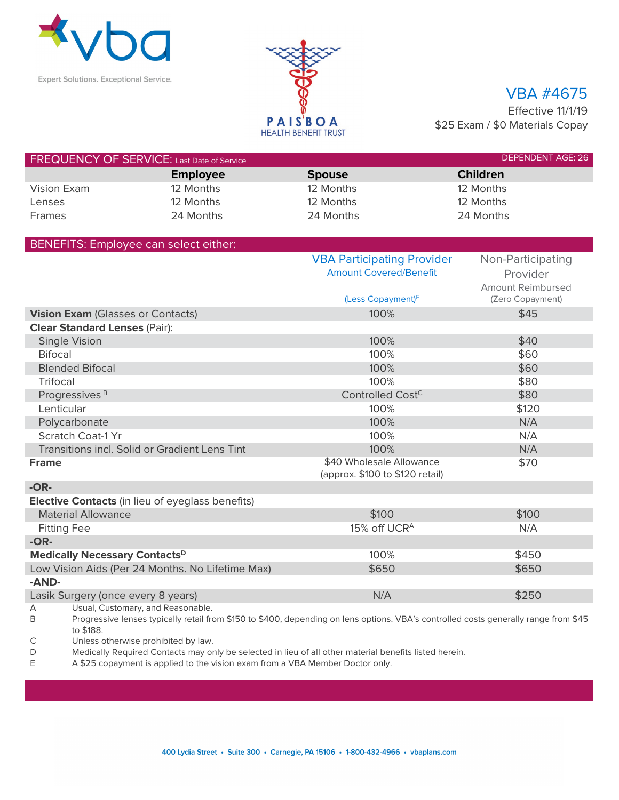



## VBA #4675

Effective 11/1/19 \$25 Exam / \$0 Materials Copay

| <b>FREQUENCY OF SERVICE:</b> Last Date of Service |                 |               | <b>DEPENDENT AGE: 26</b> |
|---------------------------------------------------|-----------------|---------------|--------------------------|
|                                                   | <b>Employee</b> | <b>Spouse</b> | <b>Children</b>          |
| Vision Exam                                       | 12 Months       | 12 Months     | 12 Months                |
| Lenses                                            | 12 Months       | 12 Months     | 12 Months                |
| <b>Frames</b>                                     | 24 Months       | 24 Months     | 24 Months                |

| BENEFITS: Employee can select either:                                                                                                                |                                                             |                   |
|------------------------------------------------------------------------------------------------------------------------------------------------------|-------------------------------------------------------------|-------------------|
|                                                                                                                                                      | <b>VBA Participating Provider</b>                           | Non-Participating |
|                                                                                                                                                      | <b>Amount Covered/Benefit</b>                               | Provider          |
|                                                                                                                                                      |                                                             | Amount Reimbursed |
|                                                                                                                                                      | (Less Copayment) <sup>E</sup>                               | (Zero Copayment)  |
| Vision Exam (Glasses or Contacts)                                                                                                                    | 100%                                                        | \$45              |
| <b>Clear Standard Lenses (Pair):</b>                                                                                                                 |                                                             |                   |
| <b>Single Vision</b>                                                                                                                                 | 100%                                                        | \$40              |
| <b>Bifocal</b>                                                                                                                                       | 100%                                                        | \$60              |
| <b>Blended Bifocal</b>                                                                                                                               | 100%                                                        | \$60              |
| Trifocal                                                                                                                                             | 100%                                                        | \$80              |
| Progressives <sup>B</sup>                                                                                                                            | Controlled Cost <sup>C</sup>                                | \$80              |
| Lenticular                                                                                                                                           | 100%                                                        | \$120             |
| Polycarbonate                                                                                                                                        | 100%                                                        | N/A               |
| <b>Scratch Coat-1 Yr</b>                                                                                                                             | 100%                                                        | N/A               |
| Transitions incl. Solid or Gradient Lens Tint                                                                                                        | 100%                                                        | N/A               |
| <b>Frame</b>                                                                                                                                         | \$40 Wholesale Allowance<br>(approx. \$100 to \$120 retail) | \$70              |
| $-OR-$                                                                                                                                               |                                                             |                   |
| <b>Elective Contacts</b> (in lieu of eyeglass benefits)                                                                                              |                                                             |                   |
| <b>Material Allowance</b>                                                                                                                            | \$100                                                       | \$100             |
| <b>Fitting Fee</b>                                                                                                                                   | 15% off UCR <sup>A</sup>                                    | N/A               |
| $-OR-$                                                                                                                                               |                                                             |                   |
| <b>Medically Necessary Contacts</b> <sup>D</sup>                                                                                                     | 100%                                                        | \$450             |
| Low Vision Aids (Per 24 Months. No Lifetime Max)                                                                                                     | \$650                                                       | \$650             |
| -AND-                                                                                                                                                |                                                             |                   |
| Lasik Surgery (once every 8 years)                                                                                                                   | N/A                                                         | \$250             |
| Usual, Customary, and Reasonable.<br>А                                                                                                               |                                                             |                   |
| Progressive lanses typically rotail from $$160 \text{ to } $400$ depending on lons options $VPR$ 's controlled sosts generally range from $$45$<br>₽ |                                                             |                   |

B Progressive lenses typically retail from \$150 to \$400, depending on lens options. VBA's controlled costs generally range from \$45 to \$188.

C Unless otherwise prohibited by law.

D Medically Required Contacts may only be selected in lieu of all other material benefits listed herein.

E A \$25 copayment is applied to the vision exam from a VBA Member Doctor only.